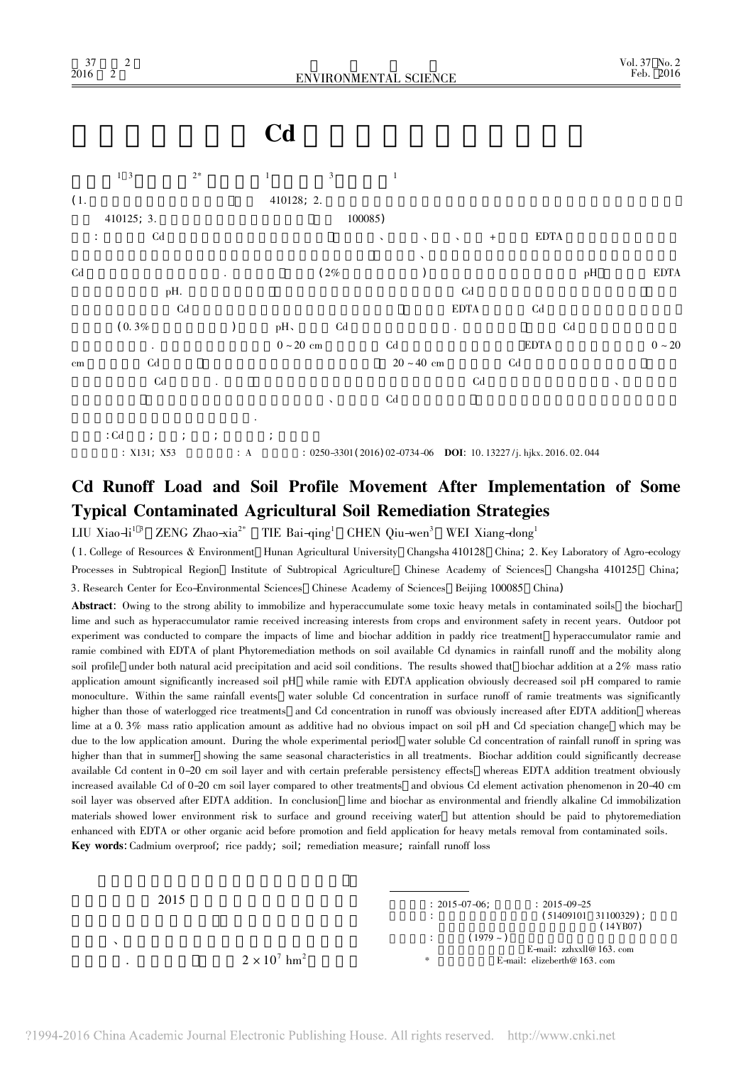## Cd

 $1<sup>3</sup>$  $2<sup>5</sup>$  $\overline{1}$ 



 $:  $Cd$$ 

:  $0250 - 3301(2016) 02 - 0734 - 06$  DOI: 10.13227/j. hikx. 2016. 02. 044 :  $X131; X53$ 

## Cd Runoff Load and Soil Profile Movement After Implementation of Some **Typical Contaminated Agricultural Soil Remediation Strategies**

LIU Xiao-li<sup>13</sup> ZENG Zhao-xia<sup>2\*</sup> TIE Bai-qing<sup>1</sup> CHEN Qiu-wen<sup>3</sup> WEI Xiang-dong<sup>1</sup>

(1. College of Resources & Environment Hunan Agricultural University Changsha 410128 China; 2. Key Laboratory of Agro-ecology Processes in Subtropical Region Institute of Subtropical Agriculture Chinese Academy of Sciences Changsha 410125 China; 3. Research Center for Eco-Environmental Sciences Chinese Academy of Sciences Beijing 100085 China)

Abstract: Owing to the strong ability to immobilize and hyperaccumulate some toxic heavy metals in contaminated soils the biochar lime and such as hyperaccumulator ramie received increasing interests from crops and environment safety in recent years. Outdoor pot experiment was conducted to compare the impacts of lime and biochar addition in paddy rice treatment hyperaccumulator ramie and ramie combined with EDTA of plant Phytoremediation methods on soil available Cd dynamics in rainfall runoff and the mobility along soil profile under both natural acid precipitation and acid soil conditions. The results showed that biochar addition at a 2% mass ratio application amount significantly increased soil pH while ramie with EDTA application obviously decreased soil pH compared to ramie monoculture. Within the same rainfall events water soluble Cd concentration in surface runoff of ramie treatments was significantly higher than those of waterlogged rice treatments and Cd concentration in runoff was obviously increased after EDTA addition whereas lime at a 0.3% mass ratio application amount as additive had no obvious impact on soil pH and Cd speciation change which may be due to the low application amount. During the whole experimental period water soluble Cd concentration of rainfall runoff in spring was higher than that in summer showing the same seasonal characteristics in all treatments. Biochar addition could significantly decrease available Cd content in 0-20 cm soil layer and with certain preferable persistency effects whereas EDTA addition treatment obviously increased available Cd of 0-20 cm soil layer compared to other treatments and obvious Cd element activation phenomenon in 20-40 cm soil layer was observed after EDTA addition. In conclusion lime and biochar as environmental and friendly alkaline Cd immobilization materials showed lower environment risk to surface and ground receiving water but attention should be paid to phytoremediation enhanced with EDTA or other organic acid before promotion and field application for heavy metals removal from contaminated soils. Key words: Cadmium overproof; rice paddy; soil; remediation measure; rainfall runoff loss

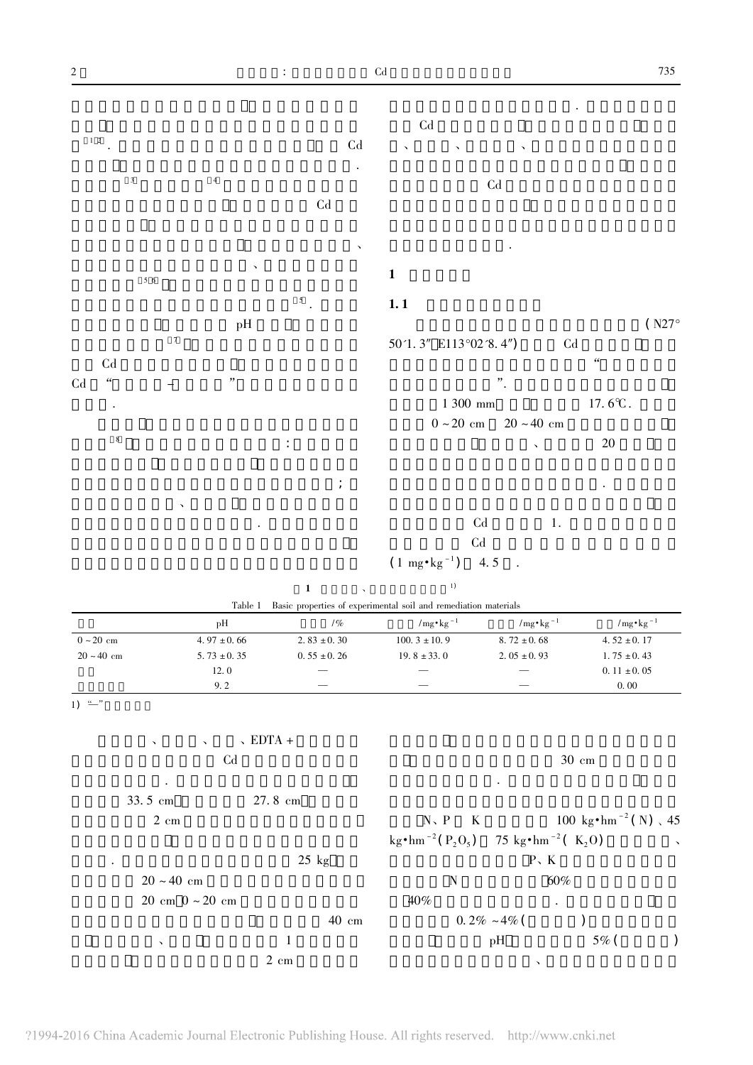$\ddot{\phantom{a}}$ 



| Table 1 Basic properties of experimental soil and remediation materials |  |
|-------------------------------------------------------------------------|--|
|-------------------------------------------------------------------------|--|

|                        | pH              | 1%               | $/mg \cdot kg^{-1}$      | $/mg \cdot kg^{-1}$ | $/mg \cdot kg^{-1}$ |
|------------------------|-----------------|------------------|--------------------------|---------------------|---------------------|
| $0 \sim 20 \text{ cm}$ | $4.97 \pm 0.66$ | 2. $83 \pm 0.30$ | $100.3 \pm 10.9$         | $8.72 \pm 0.68$     | 4.52 $\pm$ 0.17     |
| $20 - 40$ cm           | $5.73 \pm 0.35$ | $0.55 \pm 0.26$  | $19.8 \pm 33.0$          | $2.05 \pm 0.93$     | $1.75 \pm 0.43$     |
|                        | 12.0            |                  | $\overline{\phantom{a}}$ |                     | $0.11 \pm 0.05$     |
|                        | 9.2             | _                | $\overline{\phantom{a}}$ | -                   | 0.00                |

 $\overline{1) \stackrel{u}{-}'}$ 

| $\overline{\mathbf{v}}$<br>$\overline{\phantom{a}}$ | $\sqrt{EDTA}$ + |                                                                         |              |                                         |              |
|-----------------------------------------------------|-----------------|-------------------------------------------------------------------------|--------------|-----------------------------------------|--------------|
| C <sub>d</sub>                                      |                 |                                                                         |              | $30 \text{ cm}$                         |              |
| $\bullet$                                           |                 |                                                                         | $\bullet$    |                                         |              |
| 33.5 cm                                             | 27.8 cm         |                                                                         |              |                                         |              |
| $2 \text{ cm}$                                      |                 | $N \setminus P$<br>$\mathbf{K}$                                         |              | 100 kg $\cdot$ hm <sup>-2</sup> (N), 45 |              |
|                                                     |                 | $\text{kg} \cdot \text{hm}^{-2} (P_2O_5)$ 75 kg $\text{km}^{-2} (K_2O)$ |              |                                         | $\mathbf{v}$ |
| ٠                                                   | $25$ kg         |                                                                         |              | P K                                     |              |
| $20 \sim 40$ cm                                     |                 | N                                                                       |              | 60%                                     |              |
| $20 \text{ cm}$ $0 \sim 20 \text{ cm}$              |                 | 40%                                                                     |              | $\bullet$                               |              |
|                                                     | $40$ cm         |                                                                         | 0.2% ~4% (   |                                         |              |
| $\checkmark$                                        | 1               |                                                                         | pH           | $5\%$ (                                 |              |
|                                                     | $2 \text{ cm}$  |                                                                         | $\checkmark$ |                                         |              |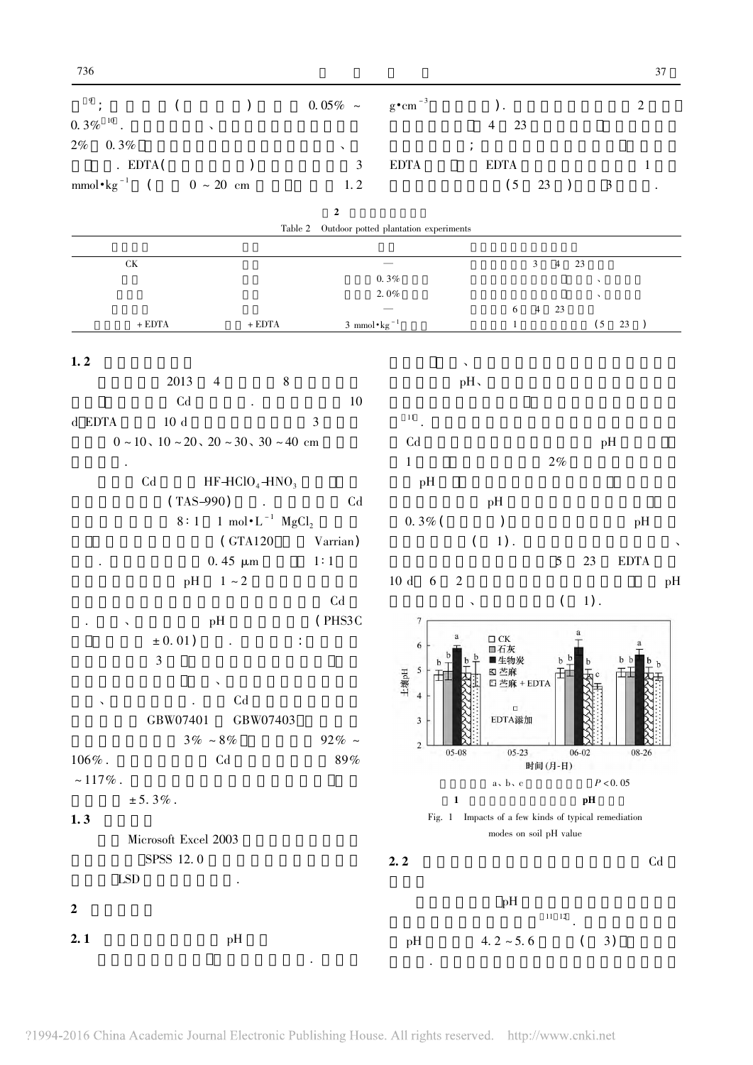SPSS 12.0

| 9,<br>$0.\,3\%$ $^{\,10}$                          | (                                                   |                                                     |                      | $0.05\% \sim \text{g} \cdot \text{cm}^{-3}$ |                  | 23<br>$\overline{4}$                                 |                                  |                | $\overline{2}$    |    |
|----------------------------------------------------|-----------------------------------------------------|-----------------------------------------------------|----------------------|---------------------------------------------|------------------|------------------------------------------------------|----------------------------------|----------------|-------------------|----|
| $2\%$<br>$0.3\%$                                   |                                                     |                                                     | $\blacktriangledown$ |                                             |                  |                                                      |                                  |                |                   |    |
|                                                    | . $EDTA($                                           |                                                     | $\mathfrak{Z}$       | <b>EDTA</b>                                 |                  | <b>EDTA</b>                                          |                                  |                | $\mathbf{1}$      |    |
| ${\rm mmol}\, {\boldsymbol \cdot} {\rm kg}^{-1}$ ( |                                                     | $0 \sim 20$ cm                                      | 1, 2                 |                                             |                  | (5)                                                  | 23<br>$\lambda$                  | $\mathfrak{Z}$ |                   |    |
|                                                    |                                                     |                                                     | $\mathbf 2$          |                                             |                  |                                                      |                                  |                |                   |    |
|                                                    |                                                     |                                                     | Table 2              | Outdoor potted plantation experiments       |                  |                                                      |                                  |                |                   |    |
| ${\rm \bf CK}$                                     |                                                     |                                                     |                      |                                             |                  |                                                      | $\mathfrak{Z}$<br>$\overline{4}$ | 23             |                   |    |
|                                                    |                                                     |                                                     |                      | 0.3%                                        |                  |                                                      |                                  |                |                   |    |
|                                                    |                                                     |                                                     |                      | 2.0%                                        |                  | 6                                                    | $\overline{4}$<br>23             |                |                   |    |
|                                                    | $+$ EDTA $\,$                                       | $+$ EDTA $\,$                                       |                      | 3 mmol $\cdot$ kg <sup>-1</sup>             |                  | 1                                                    |                                  | (5)            | 23<br>$\lambda$   |    |
|                                                    |                                                     |                                                     |                      |                                             |                  |                                                      |                                  |                |                   |    |
| 1.2                                                | 2013                                                | $\overline{4}$                                      | $\,8\,$              |                                             | pH,              |                                                      |                                  |                |                   |    |
|                                                    | Cd                                                  |                                                     | 10                   |                                             |                  |                                                      |                                  |                |                   |    |
| d EDTA                                             | 10d                                                 |                                                     | 3                    | 11 <sub>1</sub>                             |                  |                                                      |                                  |                |                   |    |
|                                                    | $0\sim10$ , $10\sim20$ , $20\sim30$ , $30\sim40$ cm |                                                     |                      | C <sub>d</sub>                              |                  |                                                      |                                  | pH             |                   |    |
|                                                    |                                                     |                                                     |                      | $\mathbf{1}$                                |                  |                                                      | $2\%$                            |                |                   |    |
|                                                    | C <sub>d</sub>                                      | $HF-HClO4 + HNO3$                                   |                      | pH                                          |                  |                                                      |                                  |                |                   |    |
|                                                    | $(TAS-990)$                                         | $\sim$                                              | ${\rm Cd}$           |                                             |                  | pH                                                   |                                  |                |                   |    |
|                                                    |                                                     | 8:1 1 mol $\cdot$ L <sup>-1</sup> MgCl <sub>2</sub> |                      | $0.3\%$ (                                   |                  |                                                      |                                  |                | pH                |    |
|                                                    |                                                     | (GTA120)                                            | Varrian)             |                                             | $\overline{(\ }$ | 1).                                                  |                                  |                |                   |    |
|                                                    |                                                     | 0.45 $\mu$ m                                        | 1:1                  |                                             |                  |                                                      | $\mathfrak{S}$                   | 23             | <b>EDTA</b>       |    |
|                                                    |                                                     | $pH \t1 \sim 2$                                     |                      | $10d \quad 6$                               | $\overline{2}$   |                                                      |                                  |                |                   | pH |
|                                                    |                                                     |                                                     | $\operatorname{Cd}$  |                                             | $\checkmark$     |                                                      | $\left($                         | $1)$ .         |                   |    |
|                                                    |                                                     | pH                                                  | (PHS3C               | 7                                           |                  |                                                      |                                  | a              |                   |    |
|                                                    | $\pm 0.01$ )                                        |                                                     |                      | 6                                           | a                | $\square$ CK<br>口石灰                                  |                                  | т              | $\mathbf{a}$<br>工 |    |
|                                                    | $\ensuremath{\mathfrak{Z}}$                         |                                                     |                      | $\sqrt{5}$                                  |                  | 生物炭<br><b>KJ 苎麻</b>                                  |                                  |                |                   |    |
|                                                    |                                                     |                                                     |                      | 土壤pH<br>$\overline{4}$                      |                  | 口 苎麻 + EDTA                                          |                                  |                |                   |    |
| $\checkmark$                                       |                                                     | C <sub>d</sub>                                      |                      |                                             |                  | $\Box$<br>EDTA添加                                     |                                  |                |                   |    |
|                                                    | GBW07401                                            | GBW07403<br>$3\%-8\%$                               | 92% $\sim$           | 3                                           |                  |                                                      |                                  |                |                   |    |
|                                                    |                                                     | ${\rm Cd}$                                          | $89\%$               | $\sqrt{2}$                                  | 05-08            | $05 - 23$                                            |                                  | $06 - 02$      | 08-26             |    |
|                                                    |                                                     |                                                     |                      |                                             |                  | a, b, c                                              | 时间(月-日)                          |                | P < 0.05          |    |
| $106\%$ .                                          |                                                     |                                                     |                      |                                             |                  |                                                      |                                  |                |                   |    |
| $\sim 117\%$ .                                     |                                                     |                                                     |                      |                                             |                  |                                                      |                                  |                |                   |    |
| 1.3                                                | $± 5.3%$ .                                          |                                                     |                      |                                             | $\mathbf{1}$     | Fig. 1 Impacts of a few kinds of typical remediation |                                  | pH             |                   |    |

 $2.2$ 

**LSD**  $\ddot{\phantom{a}}$  $\rm{pH}$   $$\rm{^{11}}$   $\rm{^{12}}$  .  $\overline{2}$  $2.1$  $pH$  $pH$  $4.2 \sim 5.6$  ( 3)  $\sim$   $\sim$ 

 ${\rm Cd}$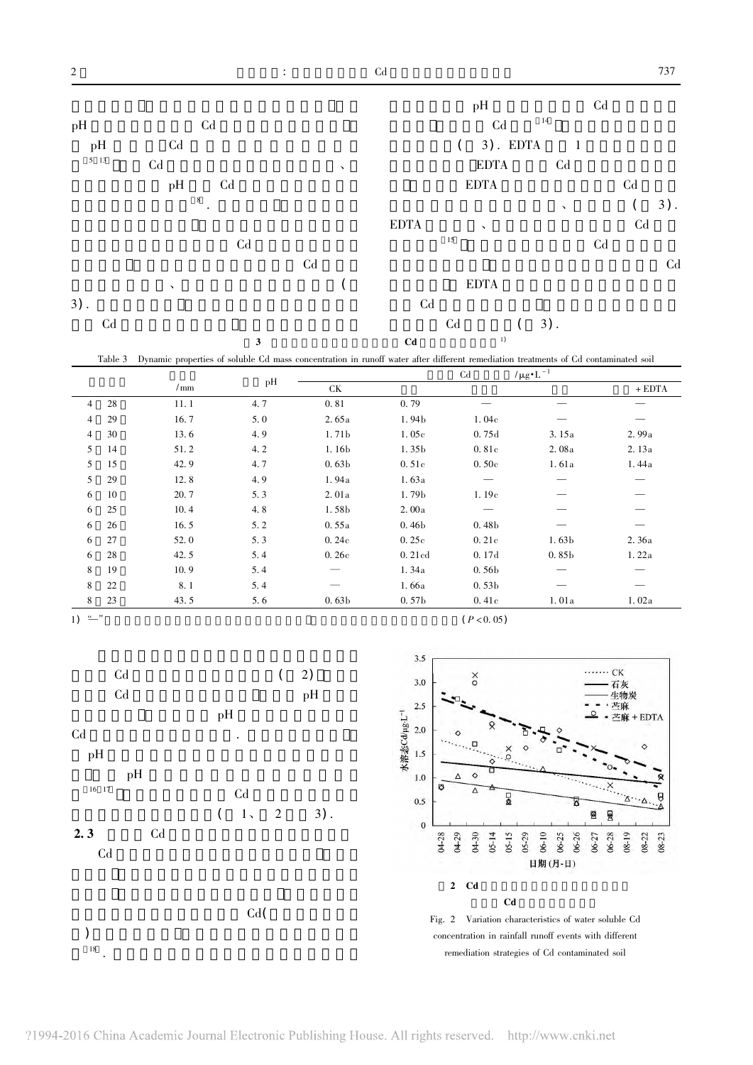

Table 3 Dynamic properties of soluble Cd mass concentration in runoff water after different remediation treatments of Cd contaminated soil

|                |    |             |     |                          |                   | C <sub>d</sub>       | $/\mu g \cdot L^{-1}$ |          |
|----------------|----|-------------|-----|--------------------------|-------------------|----------------------|-----------------------|----------|
|                |    | $\sqrt{mn}$ | pH  | СK                       |                   |                      |                       | $+$ EDTA |
| $\overline{4}$ | 28 | 11.1        | 4.7 | 0.81                     | 0.79              |                      |                       |          |
| 4              | 29 | 16.7        | 5.0 | 2.65a                    | 1.94b             | 1.04c                |                       |          |
| 4              | 30 | 13.6        | 4.9 | 1.71b                    | 1.05c             | 0.75d                | 3.15a                 | 2.99a    |
| 5              | 14 | 51.2        | 4.2 | 1.16 <sub>b</sub>        | 1.35b             | 0.81c                | 2.08a                 | 2.13a    |
| 5              | 15 | 42.9        | 4.7 | 0.63 <sub>b</sub>        | 0.51c             | 0.50c                | 1.61a                 | 1.44a    |
| 5              | 29 | 12.8        | 4.9 | 1.94a                    | 1.63a             |                      |                       |          |
| 6              | 10 | 20.7        | 5.3 | 2.01a                    | 1.79b             | 1.19c                |                       |          |
| 6              | 25 | 10.4        | 4.8 | 1.58b                    | 2.00a             |                      |                       |          |
| 6              | 26 | 16.5        | 5.2 | 0.55a                    | 0.46 <sub>b</sub> | 0.48 <sub>b</sub>    |                       |          |
| 6              | 27 | 52.0        | 5.3 | 0.24c                    | 0.25c             | 0.21c                | 1.63 <sub>b</sub>     | 2.36a    |
| 6              | 28 | 42.5        | 5.4 | 0.26c                    | 0.21cd            | 0.17d                | 0.85 <sub>b</sub>     | 1.22a    |
| 8              | 19 | 10.9        | 5.4 |                          | 1.34a             | 0.56 <sub>b</sub>    |                       |          |
| 8              | 22 | 8.1         | 5.4 | $\overline{\phantom{0}}$ | 1.66a             | 0.53 <sub>b</sub>    |                       |          |
| 8              | 23 | 43.5        | 5.6 | 0.63 <sub>b</sub>        | 0.57 <sub>b</sub> | 0.41c                | 1.01a                 | 1.02a    |
|                |    |             |     |                          |                   | $\sim$ $\sim$ $\sim$ |                       |          |

$$
1) \stackrel{u}{\longrightarrow} 1
$$

 $\big)$ 

 $\frac{1}{18}$ 

 $C<sub>d</sub>$  $2)$  $\overline{(\ }$  $C<sub>d</sub>$  $pH$ pH  $C<sub>d</sub>$ pH  $pH$  $16 \t17$  $C<sub>d</sub>$  $\overline{\phantom{a}}$  $1,$  $\overline{c}$  $3)$ .  $2.3$  $C<sub>d</sub>$  $C<sub>d</sub>$ 

Cd(

 $(P < 0.05)$ 



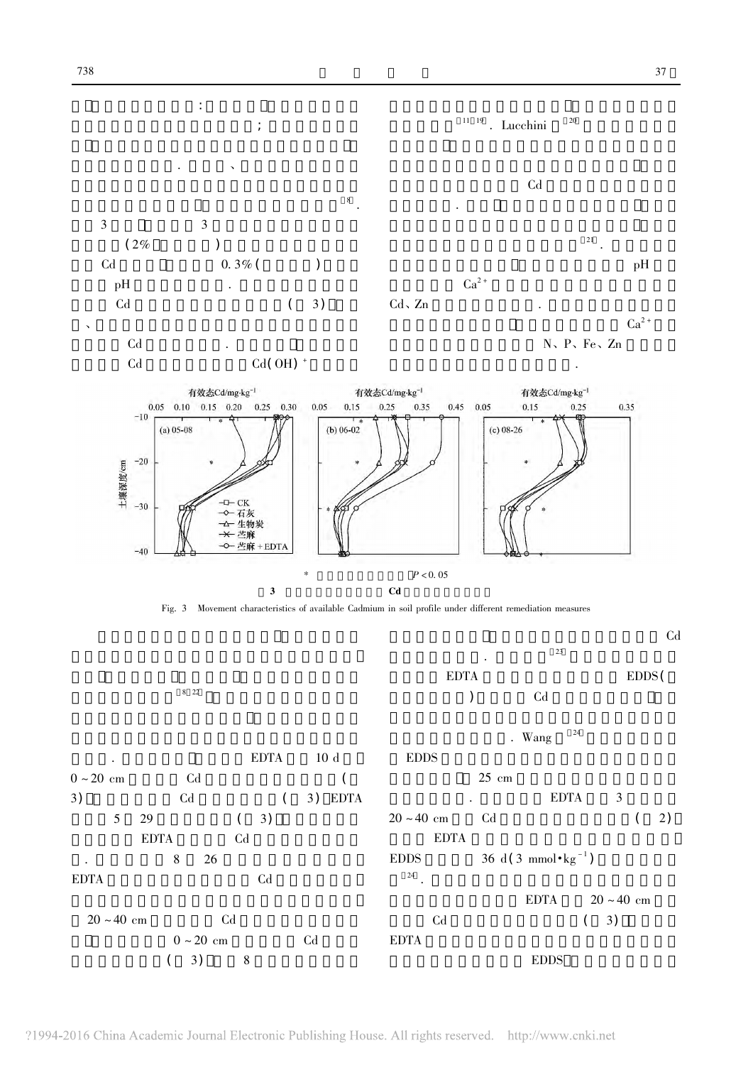